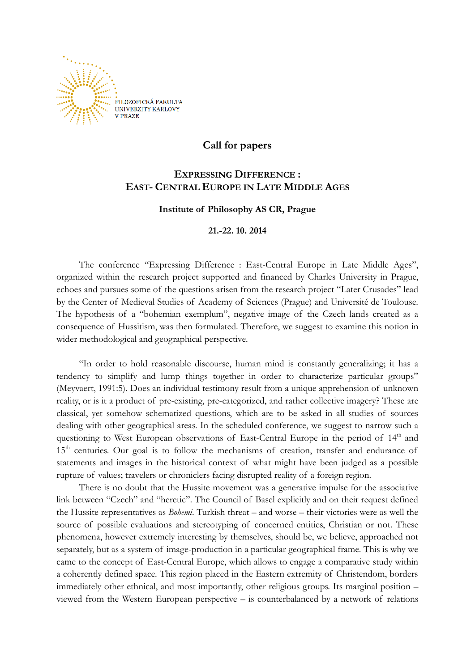

# **Call for papers**

## **EXPRESSING DIFFERENCE : EAST- CENTRAL EUROPE IN LATE MIDDLE AGES**

## **Institute of Philosophy AS CR, Prague**

## **21.-22. 10. 2014**

The conference "Expressing Difference : East-Central Europe in Late Middle Ages", organized within the research project supported and financed by Charles University in Prague, echoes and pursues some of the questions arisen from the research project "Later Crusades" lead by the Center of Medieval Studies of Academy of Sciences (Prague) and Université de Toulouse. The hypothesis of a "bohemian exemplum", negative image of the Czech lands created as a consequence of Hussitism, was then formulated. Therefore, we suggest to examine this notion in wider methodological and geographical perspective.

"In order to hold reasonable discourse, human mind is constantly generalizing; it has a tendency to simplify and lump things together in order to characterize particular groups" (Meyvaert, 1991:5). Does an individual testimony result from a unique apprehension of unknown reality, or is it a product of pre-existing, pre-categorized, and rather collective imagery? These are classical, yet somehow schematized questions, which are to be asked in all studies of sources dealing with other geographical areas. In the scheduled conference, we suggest to narrow such a questioning to West European observations of East-Central Europe in the period of 14<sup>th</sup> and 15<sup>th</sup> centuries. Our goal is to follow the mechanisms of creation, transfer and endurance of statements and images in the historical context of what might have been judged as a possible rupture of values; travelers or chroniclers facing disrupted reality of a foreign region.

There is no doubt that the Hussite movement was a generative impulse for the associative link between "Czech" and "heretic". The Council of Basel explicitly and on their request defined the Hussite representatives as *Bohemi*. Turkish threat – and worse – their victories were as well the source of possible evaluations and stereotyping of concerned entities, Christian or not. These phenomena, however extremely interesting by themselves, should be, we believe, approached not separately, but as a system of image-production in a particular geographical frame. This is why we came to the concept of East-Central Europe, which allows to engage a comparative study within a coherently defined space. This region placed in the Eastern extremity of Christendom, borders immediately other ethnical, and most importantly, other religious groups. Its marginal position – viewed from the Western European perspective – is counterbalanced by a network of relations